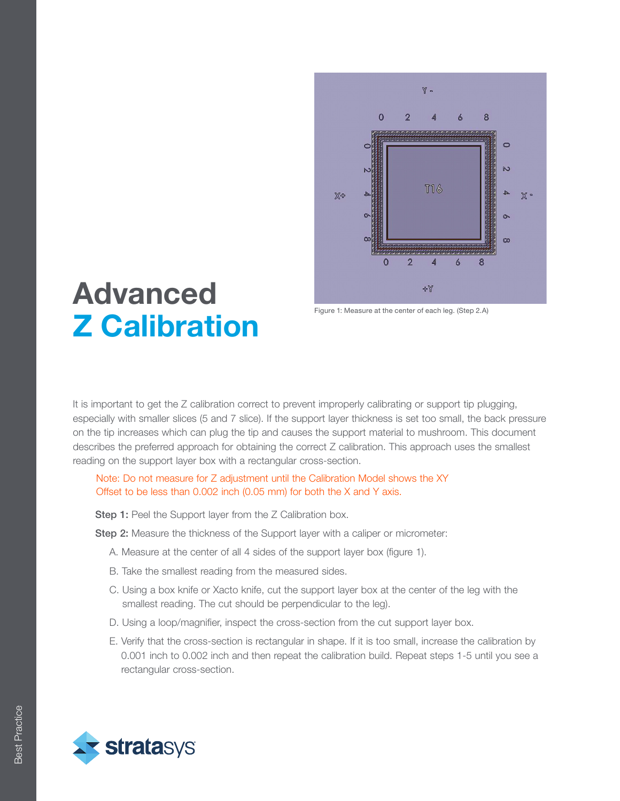

## Advanced Z Calibration

Figure 1: Measure at the center of each leg. (Step 2.A)

It is important to get the Z calibration correct to prevent improperly calibrating or support tip plugging, especially with smaller slices (5 and 7 slice). If the support layer thickness is set too small, the back pressure on the tip increases which can plug the tip and causes the support material to mushroom. This document describes the preferred approach for obtaining the correct Z calibration. This approach uses the smallest reading on the support layer box with a rectangular cross-section.

**Step 1:** Peel the Support layer from the Z Calibration box.

Step 2: Measure the thickness of the Support layer with a caliper or micrometer:

- A. Measure at the center of all 4 sides of the support layer box (figure 1).
- B. Take the smallest reading from the measured sides.
- C. Using a box knife or Xacto knife, cut the support layer box at the center of the leg with the smallest reading. The cut should be perpendicular to the leg).
- D. Using a loop/magnifier, inspect the cross-section from the cut support layer box.
- E. Verify that the cross-section is rectangular in shape. If it is too small, increase the calibration by 0.001 inch to 0.002 inch and then repeat the calibration build. Repeat steps 1-5 until you see a rectangular cross-section.

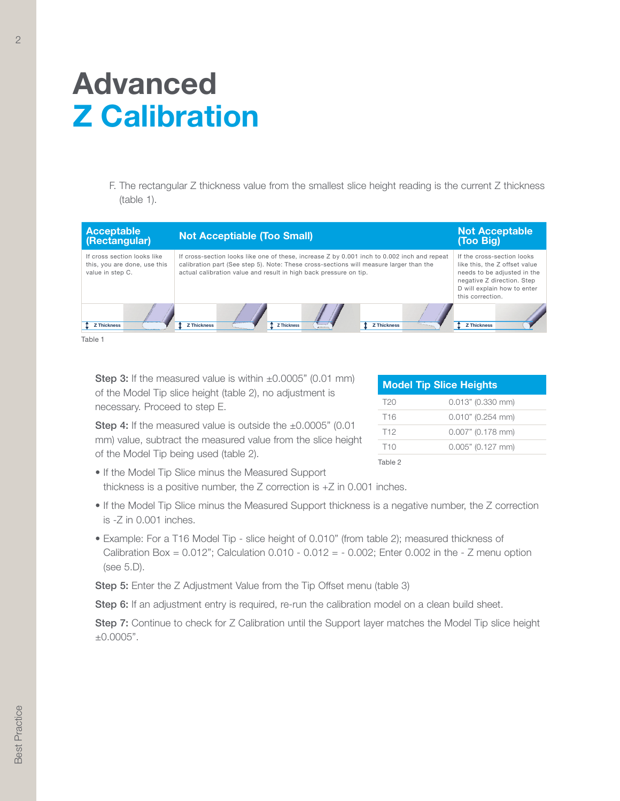## Advanced Z Calibration

 F. The rectangular Z thickness value from the smallest slice height reading is the current Z thickness (table 1).



**Step 3:** If the measured value is within  $\pm 0.0005$ " (0.01 mm) of the Model Tip slice height (table 2), no adjustment is necessary. Proceed to step E.

| <b>Model Tip Slice Heights</b> |                     |  |
|--------------------------------|---------------------|--|
| T <sub>20</sub>                | $0.013"$ (0.330 mm) |  |
| T <sub>16</sub>                | $0.010"$ (0.254 mm) |  |
| T <sub>12</sub>                | $0.007"$ (0.178 mm) |  |
| T <sub>10</sub>                | $0.005"$ (0.127 mm) |  |
| Table 2                        |                     |  |

Step 4: If the measured value is outside the ±0.0005" (0.01) mm) value, subtract the measured value from the slice height of the Model Tip being used (table 2).

- If the Model Tip Slice minus the Measured Support thickness is a positive number, the Z correction is +Z in 0.001 inches.
- If the Model Tip Slice minus the Measured Support thickness is a negative number, the Z correction is -Z in 0.001 inches.
- Example: For a T16 Model Tip slice height of 0.010" (from table 2); measured thickness of Calibration Box =  $0.012$ "; Calculation  $0.010 - 0.012 = -0.002$ ; Enter  $0.002$  in the - Z menu option (see 5.D).

**Step 5:** Enter the Z Adjustment Value from the Tip Offset menu (table 3)

Step 6: If an adjustment entry is required, re-run the calibration model on a clean build sheet.

Step 7: Continue to check for Z Calibration until the Support layer matches the Model Tip slice height ±0.0005".